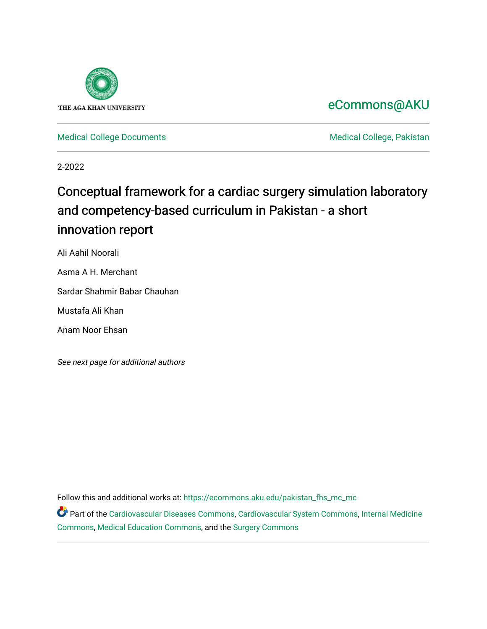

# [eCommons@AKU](https://ecommons.aku.edu/)

[Medical College Documents](https://ecommons.aku.edu/pakistan_fhs_mc_mc) **Medical College, Pakistan** 

2-2022

# Conceptual framework for a cardiac surgery simulation laboratory and competency-based curriculum in Pakistan - a short innovation report

Ali Aahil Noorali

Asma A H. Merchant

Sardar Shahmir Babar Chauhan

Mustafa Ali Khan

Anam Noor Ehsan

See next page for additional authors

Follow this and additional works at: [https://ecommons.aku.edu/pakistan\\_fhs\\_mc\\_mc](https://ecommons.aku.edu/pakistan_fhs_mc_mc?utm_source=ecommons.aku.edu%2Fpakistan_fhs_mc_mc%2F252&utm_medium=PDF&utm_campaign=PDFCoverPages) 

Part of the [Cardiovascular Diseases Commons](http://network.bepress.com/hgg/discipline/929?utm_source=ecommons.aku.edu%2Fpakistan_fhs_mc_mc%2F252&utm_medium=PDF&utm_campaign=PDFCoverPages), [Cardiovascular System Commons](http://network.bepress.com/hgg/discipline/977?utm_source=ecommons.aku.edu%2Fpakistan_fhs_mc_mc%2F252&utm_medium=PDF&utm_campaign=PDFCoverPages), Internal Medicine [Commons](http://network.bepress.com/hgg/discipline/1356?utm_source=ecommons.aku.edu%2Fpakistan_fhs_mc_mc%2F252&utm_medium=PDF&utm_campaign=PDFCoverPages), [Medical Education Commons](http://network.bepress.com/hgg/discipline/1125?utm_source=ecommons.aku.edu%2Fpakistan_fhs_mc_mc%2F252&utm_medium=PDF&utm_campaign=PDFCoverPages), and the [Surgery Commons](http://network.bepress.com/hgg/discipline/706?utm_source=ecommons.aku.edu%2Fpakistan_fhs_mc_mc%2F252&utm_medium=PDF&utm_campaign=PDFCoverPages)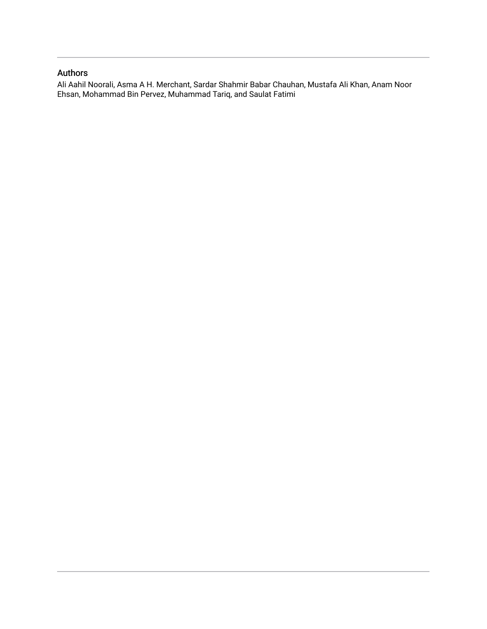#### Authors

Ali Aahil Noorali, Asma A H. Merchant, Sardar Shahmir Babar Chauhan, Mustafa Ali Khan, Anam Noor Ehsan, Mohammad Bin Pervez, Muhammad Tariq, and Saulat Fatimi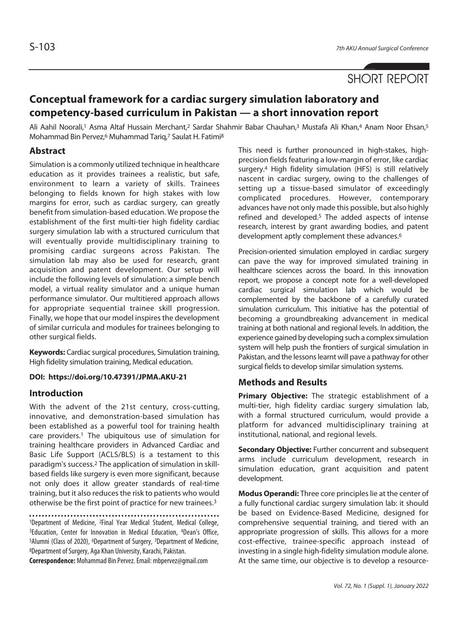## SHORT REPORT

## **Conceptual framework for a cardiac surgery simulation laboratory and competency-based curriculum in Pakistan — a short innovation report**

Ali Aahil Noorali,<sup>1</sup> Asma Altaf Hussain Merchant,<sup>2</sup> Sardar Shahmir Babar Chauhan,<sup>3</sup> Mustafa Ali Khan,<sup>4</sup> Anam Noor Ehsan,<sup>5</sup> Mohammad Bin Pervez,6 Muhammad Tariq,7 Saulat H. Fatimi8

#### **Abstract**

Simulation is a commonly utilized technique in healthcare education as it provides trainees a realistic, but safe, environment to learn a variety of skills. Trainees belonging to fields known for high stakes with low margins for error, such as cardiac surgery, can greatly benefit from simulation-based education. We propose the establishment of the first multi-tier high fidelity cardiac surgery simulation lab with a structured curriculum that will eventually provide multidisciplinary training to promising cardiac surgeons across Pakistan. The simulation lab may also be used for research, grant acquisition and patent development. Our setup will include the following levels of simulation: a simple bench model, a virtual reality simulator and a unique human performance simulator. Our multitiered approach allows for appropriate sequential trainee skill progression. Finally, we hope that our model inspires the development of similar curricula and modules for trainees belonging to other surgical fields.

**Keywords:** Cardiac surgical procedures, Simulation training, High fidelity simulation training, Medical education.

#### **DOI: https://doi.org/10.47391/JPMA.AKU-21**

#### **Introduction**

With the advent of the 21st century, cross-cutting, innovative, and demonstration-based simulation has been established as a powerful tool for training health care providers.1 The ubiquitous use of simulation for training healthcare providers in Advanced Cardiac and Basic Life Support (ACLS/BLS) is a testament to this paradigm's success.2 The application of simulation in skillbased fields like surgery is even more significant, because not only does it allow greater standards of real-time training, but it also reduces the risk to patients who would otherwise be the first point of practice for new trainees.3

1Department of Medicine, 2Final Year Medical Student, Medical College, 3Education, Center for Innovation in Medical Education, 4Dean's Office, 5Alumni (Class of 2020), 6Department of Surgery, 7Department of Medicine, 8Department of Surgery, Aga Khan University, Karachi, Pakistan.

**Correspondence:** Mohammad Bin Pervez. Email: mbpervez@gmail.com

This need is further pronounced in high-stakes, highprecision fields featuring a low-margin of error, like cardiac surgery.4 High fidelity simulation (HFS) is still relatively nascent in cardiac surgery, owing to the challenges of setting up a tissue-based simulator of exceedingly complicated procedures. However, contemporary advances have not only made this possible, but also highly refined and developed.<sup>5</sup> The added aspects of intense research, interest by grant awarding bodies, and patent development aptly complement these advances.6

Precision-oriented simulation employed in cardiac surgery can pave the way for improved simulated training in healthcare sciences across the board. In this innovation report, we propose a concept note for a well-developed cardiac surgical simulation lab which would be complemented by the backbone of a carefully curated simulation curriculum. This initiative has the potential of becoming a groundbreaking advancement in medical training at both national and regional levels. In addition, the experience gained by developing such a complex simulation system will help push the frontiers of surgical simulation in Pakistan, and the lessons learnt will pave a pathway for other surgical fields to develop similar simulation systems.

#### **Methods and Results**

**Primary Objective:** The strategic establishment of a multi-tier, high fidelity cardiac surgery simulation lab, with a formal structured curriculum, would provide a platform for advanced multidisciplinary training at institutional, national, and regional levels.

**Secondary Objective:** Further concurrent and subsequent arms include curriculum development, research in simulation education, grant acquisition and patent development.

**Modus Operandi:** Three core principles lie at the center of a fully functional cardiac surgery simulation lab: it should be based on Evidence-Based Medicine, designed for comprehensive sequential training, and tiered with an appropriate progression of skills. This allows for a more cost-effective, trainee-specific approach instead of investing in a single high-fidelity simulation module alone. At the same time, our objective is to develop a resource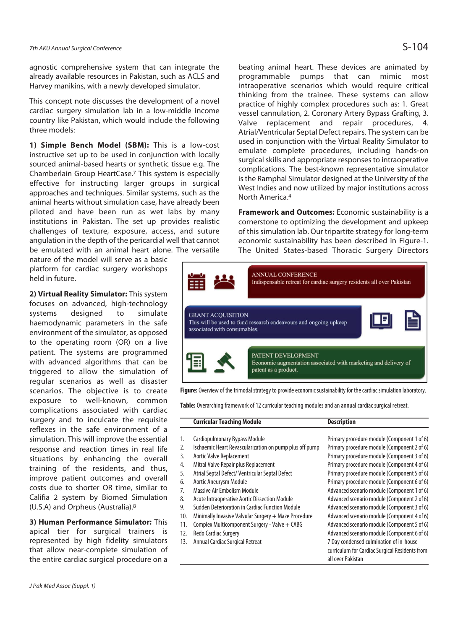agnostic comprehensive system that can integrate the already available resources in Pakistan, such as ACLS and Harvey manikins, with a newly developed simulator.

This concept note discusses the development of a novel cardiac surgery simulation lab in a low-middle income country like Pakistan, which would include the following three models:

**1) Simple Bench Model (SBM):** This is a low-cost instructive set up to be used in conjunction with locally sourced animal-based hearts or synthetic tissue e.g. The Chamberlain Group HeartCase.7 This system is especially effective for instructing larger groups in surgical approaches and techniques. Similar systems, such as the animal hearts without simulation case, have already been piloted and have been run as wet labs by many institutions in Pakistan. The set up provides realistic challenges of texture, exposure, access, and suture angulation in the depth of the pericardial well that cannot be emulated with an animal heart alone. The versatile

nature of the model will serve as a basic platform for cardiac surgery workshops held in future.

**2) Virtual Reality Simulator:** This system focuses on advanced, high-technology systems designed to simulate haemodynamic parameters in the safe environment of the simulator, as opposed to the operating room (OR) on a live patient. The systems are programmed with advanced algorithms that can be triggered to allow the simulation of regular scenarios as well as disaster scenarios. The objective is to create exposure to well-known, common complications associated with cardiac surgery and to inculcate the requisite reflexes in the safe environment of a simulation. This will improve the essential response and reaction times in real life situations by enhancing the overall training of the residents, and thus, improve patient outcomes and overall costs due to shorter OR time, similar to Califia 2 system by Biomed Simulation (U.S.A) and Orpheus (Australia).8

**3) Human Performance Simulator:** This apical tier for surgical trainers is represented by high fidelity simulators that allow near-complete simulation of the entire cardiac surgical procedure on a beating animal heart. These devices are animated by programmable pumps that can mimic most intraoperative scenarios which would require critical thinking from the trainee. These systems can allow practice of highly complex procedures such as: 1. Great vessel cannulation, 2. Coronary Artery Bypass Grafting, 3. Valve replacement and repair procedures, 4. Atrial/Ventricular Septal Defect repairs. The system can be used in conjunction with the Virtual Reality Simulator to emulate complete procedures, including hands-on surgical skills and appropriate responses to intraoperative complications. The best-known representative simulator is the Ramphal Simulator designed at the University of the West Indies and now utilized by major institutions across North America.4

**Framework and Outcomes:** Economic sustainability is a cornerstone to optimizing the development and upkeep of this simulation lab. Our tripartite strategy for long-term economic sustainability has been described in Figure-1. The United States-based Thoracic Surgery Directors



**Figure:** Overview of the trimodal strategy to provide economic sustainability for the cardiac simulation laboratory.

**Table:** Overarching framework of 12 curricular teaching modules and an annual cardiac surgical retreat.

|     | <b>Curricular Teaching Module</b>                       | <b>Description</b>                             |
|-----|---------------------------------------------------------|------------------------------------------------|
|     |                                                         |                                                |
| 1.  | <b>Cardiopulmonary Bypass Module</b>                    | Primary procedure module (Component 1 of 6)    |
| 2.  | Ischaemic Heart Revascularization on pump plus off pump | Primary procedure module (Component 2 of 6)    |
| 3.  | Aortic Valve Replacement                                | Primary procedure module (Component 3 of 6)    |
| 4.  | Mitral Valve Repair plus Replacement                    | Primary procedure module (Component 4 of 6)    |
| 5.  | Atrial Septal Defect/ Ventricular Septal Defect         | Primary procedure module (Component 5 of 6)    |
| 6.  | <b>Aortic Aneurysm Module</b>                           | Primary procedure module (Component 6 of 6)    |
| 7.  | Massive Air Embolism Module                             | Advanced scenario module (Component 1 of 6)    |
| 8.  | Acute Intraoperative Aortic Dissection Module           | Advanced scenario module (Component 2 of 6)    |
| 9.  | Sudden Deterioration in Cardiac Function Module         | Advanced scenario module (Component 3 of 6)    |
| 10. | Minimally Invasive Valvular Surgery + Maze Procedure    | Advanced scenario module (Component 4 of 6)    |
| 11. | Complex Multicomponent Surgery - Valve + CABG           | Advanced scenario module (Component 5 of 6)    |
| 12. | Redo Cardiac Surgery                                    | Advanced scenario module (Component 6 of 6)    |
| 13. | Annual Cardiac Surgical Retreat                         | 7 Day condensed culmination of in-house        |
|     |                                                         | curriculum for Cardiac Surgical Residents from |
|     |                                                         | all over Pakistan                              |